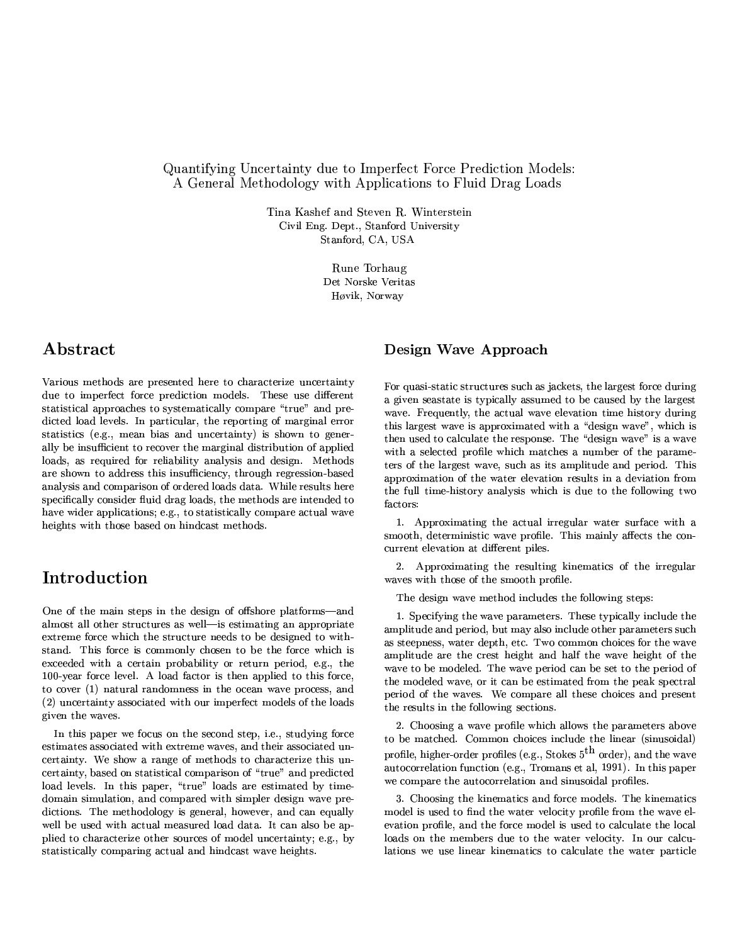#### Quantifying Uncertainty due to Imperfect Force Prediction Models: A General Methodology with Applications to Fluid Drag Loads

Tina Kashef and Steven R. Winterstein Civil Eng. Dept., Stanford University Stanford, CA, USA

> Rune Torhaug Det Norske Veritas Høvik, Norway

#### Abstract

Various methods are presented here to characterize uncertainty due to imperfect force prediction models. These use different statistical approaches to systematically compare "true" and predicted load levels. In particular, the reporting of marginal error statistics (e.g., mean bias and uncertainty) is shown to generally be insufficient to recover the marginal distribution of applied loads, as required for reliability analysis and design. Methods are shown to address this insufficiency, through regression-based analysis and comparison of ordered loads data. While results here specifically consider fluid drag loads, the methods are intended to have wider applications; e.g., to statistically compare actual wave heights with those based on hindcast methods.

### Introduction

One of the main steps in the design of offshore platforms-and almost all other structures as well-is estimating an appropriate extreme force which the structure needs to be designed to withstand. This force is commonly chosen to be the force which is exceeded with a certain probability or return period, e.g., the 100-year force level. A load factor is then applied to this force, to cover (1) natural randomness in the ocean wave process, and (2) uncertainty associated with our imperfect models of the loads given the waves.

In this paper we focus on the second step, i.e., studying force estimates associated with extreme waves, and their associated uncertainty. We show a range of methods to characterize this uncertainty, based on statistical comparison of "true" and predicted load levels. In this paper, "true" loads are estimated by timedomain simulation, and compared with simpler design wave predictions. The methodology is general, however, and can equally well be used with actual measured load data. It can also be applied to characterize other sources of model uncertainty; e.g., by statistically comparing actual and hindcast wave heights.

#### Design Wave Approach

For quasi-static structures such as jackets, the largest force during a given seastate is typically assumed to be caused by the largest wave. Frequently, the actual wave elevation time history during this largest wave is approximated with a "design wave", which is then used to calculate the response. The "design wave" is a wave with a selected profile which matches a number of the parameters of the largest wave, such as its amplitude and period. This approximation of the water elevation results in a deviation from the full time-history analysis which is due to the following two factors:

1. Approximating the actual irregular water surface with a smooth, deterministic wave profile. This mainly affects the concurrent elevation at different piles.

2. Approximating the resulting kinematics of the irregular waves with those of the smooth profile.

The design wave method includes the following steps:

1. Specifying the wave parameters. These typically include the amplitude and period, but may also include other parameters such as steepness, water depth, etc. Two common choices for the wave amplitude are the crest height and half the wave height of the wave to be modeled. The wave period can be set to the period of the modeled wave, or it can be estimated from the peak spectral period of the waves. We compare all these choices and present the results in the following sections.

2. Choosing a wave profile which allows the parameters above to be matched. Common choices include the linear (sinusoidal) profile, higher-order profiles (e.g., Stokes  $5<sup>th</sup>$  order), and the wave autocorrelation function (e.g., Tromans et al, 1991). In this paper we compare the autocorrelation and sinusoidal profiles.

3. Choosing the kinematics and force models. The kinematics model is used to find the water velocity profile from the wave elevation profile, and the force model is used to calculate the local loads on the members due to the water velocity. In our calculations we use linear kinematics to calculate the water particle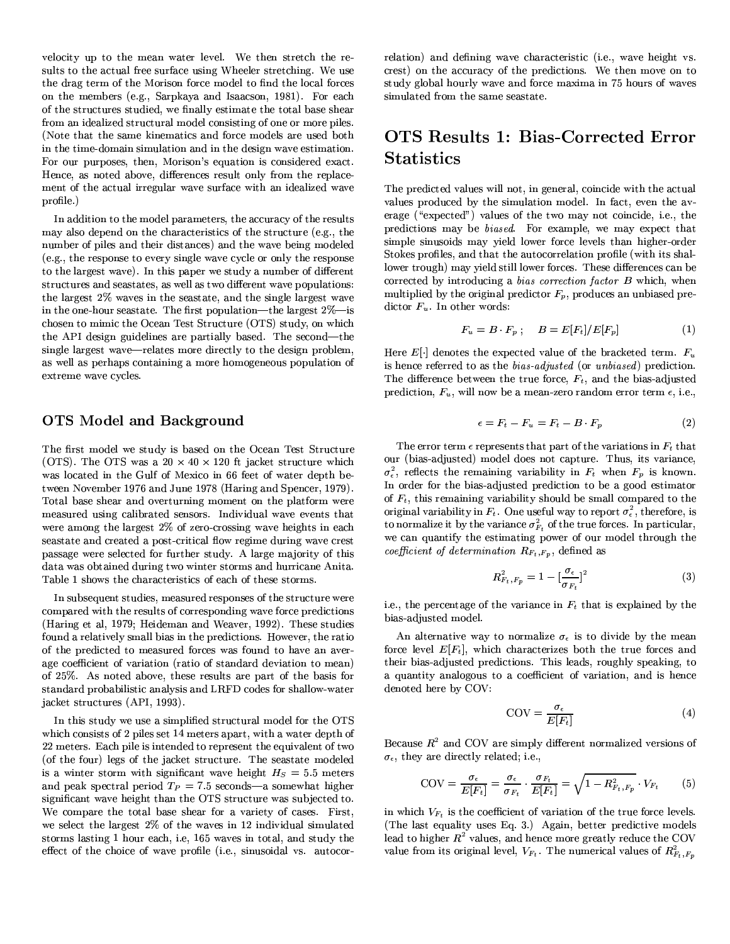velocity up to the mean water level. We then stretch the results to the actual free surface using Wheeler stretching. We use the drag term of the Morison force model to find the local forces on the members (e.g., Sarpkaya and Isaacson, 1981). For each of the structures studied, we finally estimate the total base shear from an idealized structural model consisting of one or more piles. (Note that the same kinematics and force models are used both in the time-domain simulation and in the design wave estimation. For our purposes, then, Morison's equation is considered exact. Hence, as noted above, differences result only from the replacement of the actual irregular wave surface with an idealized wave profile.)

In addition to the model parameters, the accuracy of the results may also depend on the characteristics of the structure (e.g., the number of piles and their distances) and the wave being modeled (e.g., the response to every single wave cycle or only the response to the largest wave). In this paper we study a number of different structures and seastates, as well as two different wave populations: the largest 2% waves in the seastate, and the single largest wave in the one-hour seastate. The first population—the largest  $2\%$ —is chosen to mimic the Ocean Test Structure (OTS) study, on which the API design guidelines are partially based. The second—the single largest wave—relates more directly to the design problem, as well as perhaps containing a more homogeneous population of extreme wave cycles.

#### **OTS** Model and Background

The first model we study is based on the Ocean Test Structure (OTS). The OTS was a  $20 \times 40 \times 120$  ft jacket structure which was located in the Gulf of Mexico in 66 feet of water depth between November 1976 and June 1978 (Haring and Spencer, 1979). Total base shear and overturning moment on the platform were measured using calibrated sensors. Individual wave events that were among the largest 2% of zero-crossing wave heights in each seastate and created a post-critical flow regime during wave crest passage were selected for further study. A large majority of this data was obtained during two winter storms and hurricane Anita. Table 1 shows the characteristics of each of these storms.

In subsequent studies, measured responses of the structure were compared with the results of corresponding wave force predictions (Haring et al, 1979; Heideman and Weaver, 1992). These studies found a relatively small bias in the predictions. However, the ratio of the predicted to measured forces was found to have an average coefficient of variation (ratio of standard deviation to mean) of 25%. As noted above, these results are part of the basis for standard probabilistic analysis and LRFD codes for shallow-water jacket structures (API, 1993).

In this study we use a simplified structural model for the OTS which consists of 2 piles set 14 meters apart, with a water depth of 22 meters. Each pile is intended to represent the equivalent of two (of the four) legs of the jacket structure. The seastate modeled is a winter storm with significant wave height  $H<sub>S</sub> = 5.5$  meters and peak spectral period  $T_P = 7.5$  seconds—a somewhat higher significant wave height than the OTS structure was subjected to. We compare the total base shear for a variety of cases. First, we select the largest 2% of the waves in 12 individual simulated storms lasting 1 hour each, i.e, 165 waves in total, and study the effect of the choice of wave profile (i.e., sinusoidal vs. autocorrelation) and defining wave characteristic (i.e., wave height vs. crest) on the accuracy of the predictions. We then move on to study global hourly wave and force maxima in 75 hours of waves simulated from the same seastate.

### **OTS Results 1: Bias-Corrected Error Statistics**

The predicted values will not, in general, coincide with the actual values produced by the simulation model. In fact, even the average ("expected") values of the two may not coincide, i.e., the predictions may be biased. For example, we may expect that simple sinusoids may yield lower force levels than higher-order Stokes profiles, and that the autocorrelation profile (with its shallower trough) may yield still lower forces. These differences can be corrected by introducing a bias correction factor B which, when multiplied by the original predictor  $F_p$ , produces an unbiased predictor  $F_u$ . In other words:

$$
F_u = B \cdot F_p \; ; \quad B = E[F_t]/E[F_p] \tag{1}
$$

Here  $E[\cdot]$  denotes the expected value of the bracketed term.  $F_u$ is hence referred to as the bias-adjusted (or unbiased) prediction. The difference between the true force,  $F_t$ , and the bias-adjusted prediction,  $F_u$ , will now be a mean-zero random error term  $\epsilon$ , i.e.,

$$
\epsilon = F_t - F_u = F_t - B \cdot F_p \tag{2}
$$

The error term  $\epsilon$  represents that part of the variations in  $F_t$  that our (bias-adjusted) model does not capture. Thus, its variance,  $\sigma_{\epsilon}^2$ , reflects the remaining variability in  $F_t$  when  $F_p$  is known. In order for the bias-adjusted prediction to be a good estimator of  $F_t$ , this remaining variability should be small compared to the original variability in  $F_t$ . One useful way to report  $\sigma_{\epsilon}^2$ , therefore, is to normalize it by the variance  $\sigma_{F_t}^2$  of the true forces. In particular, we can quantify the estimating power of our model through the coefficient of determination  $R_{F_t, F_p}$ , defined as

$$
R_{F_t, F_p}^2 = 1 - \left[\frac{\sigma_{\epsilon}}{\sigma_{F_t}}\right]^2 \tag{3}
$$

i.e., the percentage of the variance in  $F_t$  that is explained by the bias-adjusted model.

An alternative way to normalize  $\sigma_{\epsilon}$  is to divide by the mean force level  $E[F_t]$ , which characterizes both the true forces and their bias-adjusted predictions. This leads, roughly speaking, to a quantity analogous to a coefficient of variation, and is hence denoted here by COV:

$$
COV = \frac{\sigma_{\epsilon}}{E[F_t]}
$$
 (4)

Because  $R^2$  and COV are simply different normalized versions of  $\sigma_{\epsilon}$ , they are directly related; i.e.,

$$
COV = \frac{\sigma_{\epsilon}}{E[F_t]} = \frac{\sigma_{\epsilon}}{\sigma_{F_t}} \cdot \frac{\sigma_{F_t}}{E[F_t]} = \sqrt{1 - R_{F_t, F_p}^2} \cdot V_{F_t} \qquad (5)
$$

in which  $V_{F_t}$  is the coefficient of variation of the true force levels. (The last equality uses Eq. 3.) Again, better predictive models lead to higher  $R^2$  values, and hence more greatly reduce the COV value from its original level,  $V_{F_t}$ . The numerical values of  $R_{F_t, F_p}^2$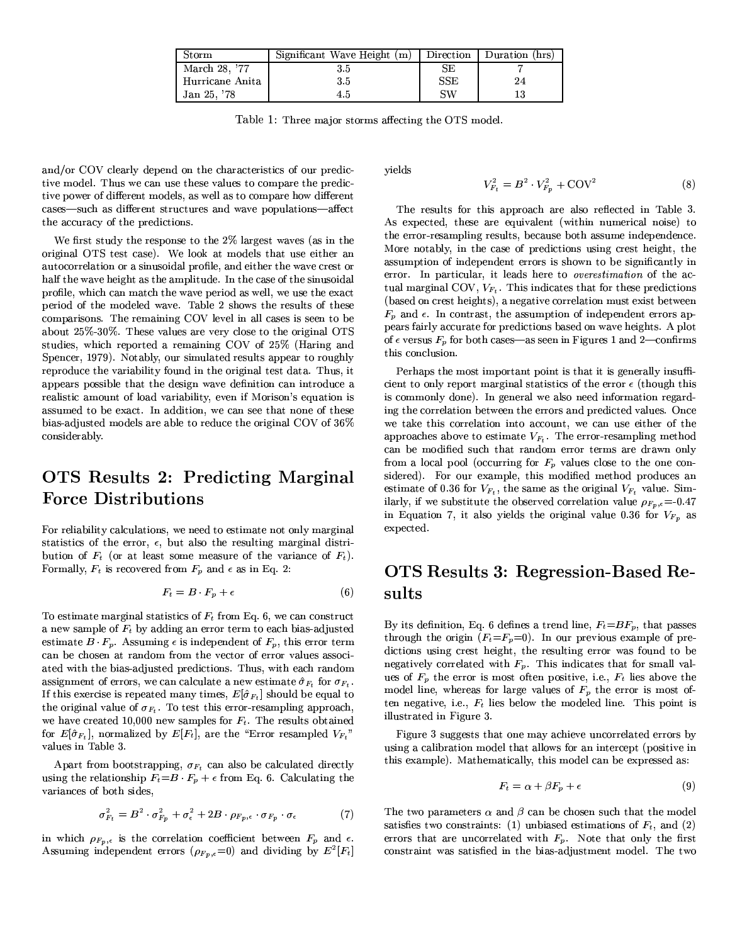| Storm           | Significant Wave Height (m) | Direction  | Duration (hrs) |
|-----------------|-----------------------------|------------|----------------|
| March 28, '77   | 35                          | SE         |                |
| Hurricane Anita | 35                          | <b>SSE</b> | 24             |
| Jan 25, '78     | 45                          | SW         |                |

Table 1: Three major storms affecting the OTS model.

and/or COV clearly depend on the characteristics of our predictive model. Thus we can use these values to compare the predictive power of different models, as well as to compare how different cases-such as different structures and wave populations-affect the accuracy of the predictions.

We first study the response to the 2% largest waves (as in the original OTS test case). We look at models that use either an autocorrelation or a sinusoidal profile, and either the wave crest or half the wave height as the amplitude. In the case of the sinusoidal profile, which can match the wave period as well, we use the exact period of the modeled wave. Table 2 shows the results of these comparisons. The remaining COV level in all cases is seen to be about 25%-30%. These values are very close to the original OTS studies, which reported a remaining COV of 25% (Haring and Spencer, 1979). Notably, our simulated results appear to roughly reproduce the variability found in the original test data. Thus, it appears possible that the design wave definition can introduce a realistic amount of load variability, even if Morison's equation is assumed to be exact. In addition, we can see that none of these bias-adjusted models are able to reduce the original COV of 36% considerably.

### OTS Results 2: Predicting Marginal **Force Distributions**

For reliability calculations, we need to estimate not only marginal statistics of the error,  $\epsilon$ , but also the resulting marginal distribution of  $F_t$  (or at least some measure of the variance of  $F_t$ ). Formally,  $F_t$  is recovered from  $F_p$  and  $\epsilon$  as in Eq. 2:

$$
F_t = B \cdot F_p + \epsilon \tag{6}
$$

To estimate marginal statistics of  $F_t$  from Eq. 6, we can construct a new sample of  $F_t$  by adding an error term to each bias-adjusted estimate  $B \cdot F_p$ . Assuming  $\epsilon$  is independent of  $F_p$ , this error term can be chosen at random from the vector of error values associated with the bias-adjusted predictions. Thus, with each random assignment of errors, we can calculate a new estimate  $\hat{\sigma}_{F_t}$  for  $\sigma_{F_t}$ . If this exercise is repeated many times,  $E[\hat{\sigma}_{F_t}]$  should be equal to the original value of  $\sigma_{F_t}$ . To test this error-resampling approach, we have created 10,000 new samples for  $F_t$ . The results obtained for  $E[\hat{\sigma}_{F_t}]$ , normalized by  $E[F_t]$ , are the "Error resampled  $V_{F_t}$ " values in Table 3.

Apart from bootstrapping,  $\sigma_{F_t}$  can also be calculated directly using the relationship  $F_t = B \cdot F_p + \epsilon$  from Eq. 6. Calculating the variances of both sides,

$$
\sigma_{F_t}^2 = B^2 \cdot \sigma_{F_p}^2 + \sigma_{\epsilon}^2 + 2B \cdot \rho_{F_p, \epsilon} \cdot \sigma_{F_p} \cdot \sigma_{\epsilon} \tag{7}
$$

in which  $\rho_{F_p,\epsilon}$  is the correlation coefficient between  $F_p$  and  $\epsilon$ . Assuming independent errors  $(\rho_{F_p,\epsilon}=0)$  and dividing by  $E^2[F_t]$  yields

$$
V_{F_t}^2 = B^2 \cdot V_{F_n}^2 + \text{COV}^2 \tag{8}
$$

The results for this approach are also reflected in Table 3. As expected, these are equivalent (within numerical noise) to the error-resampling results, because both assume independence. More notably, in the case of predictions using crest height, the assumption of independent errors is shown to be significantly in error. In particular, it leads here to overestimation of the actual marginal COV,  $V_{F_t}$ . This indicates that for these predictions (based on crest heights), a negative correlation must exist between  $F_p$  and  $\epsilon$ . In contrast, the assumption of independent errors appears fairly accurate for predictions based on wave heights. A plot of  $\epsilon$  versus  $F_p$  for both cases—as seen in Figures 1 and 2—confirms this conclusion.

Perhaps the most important point is that it is generally insufficient to only report marginal statistics of the error  $\epsilon$  (though this is commonly done). In general we also need information regarding the correlation between the errors and predicted values. Once we take this correlation into account, we can use either of the approaches above to estimate  $V_{F_t}$ . The error-resampling method can be modified such that random error terms are drawn only from a local pool (occurring for  $F_p$  values close to the one considered). For our example, this modified method produces an estimate of 0.36 for  $V_{F_t}$ , the same as the original  $V_{F_t}$  value. Similarly, if we substitute the observed correlation value  $\rho_{F_p,\epsilon}=0.47$ in Equation 7, it also yields the original value 0.36 for  $V_{F_p}$  as expected.

## OTS Results 3: Regression-Based Re- $_{\rm sults}$

By its definition, Eq. 6 defines a trend line,  $F_t = BF_n$ , that passes through the origin  $(F_t = F_p = 0)$ . In our previous example of predictions using crest height, the resulting error was found to be negatively correlated with  $F_p$ . This indicates that for small values of  $F_p$  the error is most often positive, i.e.,  $F_t$  lies above the model line, whereas for large values of  $F_p$  the error is most often negative, i.e.,  $F_t$  lies below the modeled line. This point is illustrated in Figure 3.

Figure 3 suggests that one may achieve uncorrelated errors by using a calibration model that allows for an intercept (positive in this example). Mathematically, this model can be expressed as:

$$
F_t = \alpha + \beta F_p + \epsilon \tag{9}
$$

The two parameters  $\alpha$  and  $\beta$  can be chosen such that the model satisfies two constraints: (1) unbiased estimations of  $F_t$ , and (2) errors that are uncorrelated with  $F_p$ . Note that only the first constraint was satisfied in the bias-adjustment model. The two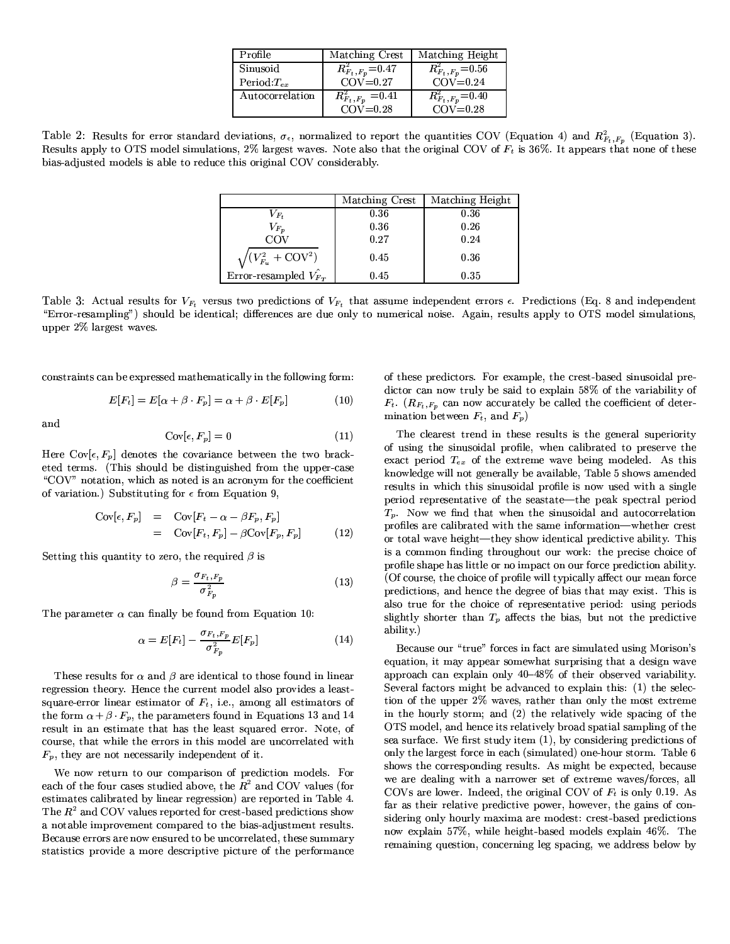| Profile          | Matching Crest         | Matching Height                     |
|------------------|------------------------|-------------------------------------|
| Sinusoid         | $R_{F_t,F_p}^2$ = 0.47 | $R_{F_t\,,F_p}^2$ = 0.56            |
| Period: $T_{ex}$ | $COV=0.27$             | $COV=0.24$                          |
| Autocorrelation  | $R_{F_t,F_p}^2 = 0.41$ | $\overline{R}_{F_t\,,F_p}^2$ = 0.40 |
|                  | $COV = 0.28$           | $COV = 0.28$                        |

Table 2: Results for error standard deviations,  $\sigma_{\epsilon}$ , normalized to report the quantities COV (Equation 4) and  $R_{F_t,F_p}^2$  (Equation 3). Results apply to OTS model simulations, 2% largest waves. Note also that the original COV of  $F_t$  is 36%. It appears that none of these bias-adjusted models is able to reduce this original COV considerably.

|                                     | Matching Crest | Matching Height |
|-------------------------------------|----------------|-----------------|
| $V_{F\ast}$                         | 0.36           | 0.36            |
| $V_{F_{\bm p}}$                     | 0.36           | 0.26            |
| COV                                 | 0.27           | 0.24            |
| $\sqrt{(V_{F_u}^2 + \text{COV}^2)}$ | 0.45           | 0.36            |
| Error-resampled $V_{F_T}$           | 0.45           | 0.35            |

Table 3: Actual results for  $V_{F_t}$  versus two predictions of  $V_{F_t}$  that assume independent errors  $\epsilon$ . Predictions (Eq. 8 and independent "Error-resampling") should be identical; differences are due only to numerical noise. Again, results apply to OTS model simulations, upper 2% largest waves.

constraints can be expressed mathematically in the following form:

$$
E[F_t] = E[\alpha + \beta \cdot F_p] = \alpha + \beta \cdot E[F_p]
$$
 (10)

and

$$
Cov[\epsilon, F_p] = 0 \tag{11}
$$

Here  $Cov[\epsilon, F_p]$  denotes the covariance between the two bracketed terms. (This should be distinguished from the upper-case "COV" notation, which as noted is an acronym for the coefficient of variation.) Substituting for  $\epsilon$  from Equation 9.

$$
Cov[\epsilon, F_p] = Cov[F_t - \alpha - \beta F_p, F_p]
$$
  
= Cov[F\_t, F\_p] - \beta Cov[F\_p, F\_p] (12)

Setting this quantity to zero, the required  $\beta$  is

$$
\beta = \frac{\sigma_{F_t, F_p}}{\sigma_{F_p}^2} \tag{13}
$$

The parameter  $\alpha$  can finally be found from Equation 10:

$$
\alpha = E[F_t] - \frac{\sigma_{F_t, F_p}}{\sigma_{F_p}^2} E[F_p] \tag{14}
$$

These results for  $\alpha$  and  $\beta$  are identical to those found in linear regression theory. Hence the current model also provides a leastsquare-error linear estimator of  $F_t$ , i.e., among all estimators of the form  $\alpha + \beta \cdot F_p$ , the parameters found in Equations 13 and 14 result in an estimate that has the least squared error. Note, of course, that while the errors in this model are uncorrelated with  $F_p$ , they are not necessarily independent of it.

We now return to our comparison of prediction models. For each of the four cases studied above, the  $R^2$  and COV values (for estimates calibrated by linear regression) are reported in Table 4. The  $R^2$  and COV values reported for crest-based predictions show a notable improvement compared to the bias-adjustment results. Because errors are now ensured to be uncorrelated, these summary statistics provide a more descriptive picture of the performance

of these predictors. For example, the crest-based sinusoidal predictor can now truly be said to explain 58% of the variability of  $F_t$ . ( $R_{F_t,F_p}$  can now accurately be called the coefficient of determination between  $F_t$ , and  $F_p$ )

The clearest trend in these results is the general superiority of using the sinusoidal profile, when calibrated to preserve the exact period  $T_{ex}$  of the extreme wave being modeled. As this knowledge will not generally be available, Table 5 shows amended results in which this sinusoidal profile is now used with a single period representative of the seastate—the peak spectral period  $T_p$ . Now we find that when the sinusoidal and autocorrelation profiles are calibrated with the same information-whether crest or total wave height—they show identical predictive ability. This is a common finding throughout our work: the precise choice of profile shape has little or no impact on our force prediction ability. (Of course, the choice of profile will typically affect our mean force predictions, and hence the degree of bias that may exist. This is also true for the choice of representative period: using periods slightly shorter than  $T_p$  affects the bias, but not the predictive ability)

Because our "true" forces in fact are simulated using Morison's equation, it may appear somewhat surprising that a design wave approach can explain only 40-48% of their observed variability. Several factors might be advanced to explain this: (1) the selection of the upper 2% waves, rather than only the most extreme in the hourly storm; and (2) the relatively wide spacing of the OTS model, and hence its relatively broad spatial sampling of the sea surface. We first study item (1), by considering predictions of only the largest force in each (simulated) one-hour storm. Table 6 shows the corresponding results. As might be expected, because we are dealing with a narrower set of extreme waves/forces, all COVs are lower. Indeed, the original COV of  $F_t$  is only 0.19. As far as their relative predictive power, however, the gains of considering only hourly maxima are modest: crest-based predictions now explain 57%, while height-based models explain 46%. The remaining question, concerning leg spacing, we address below by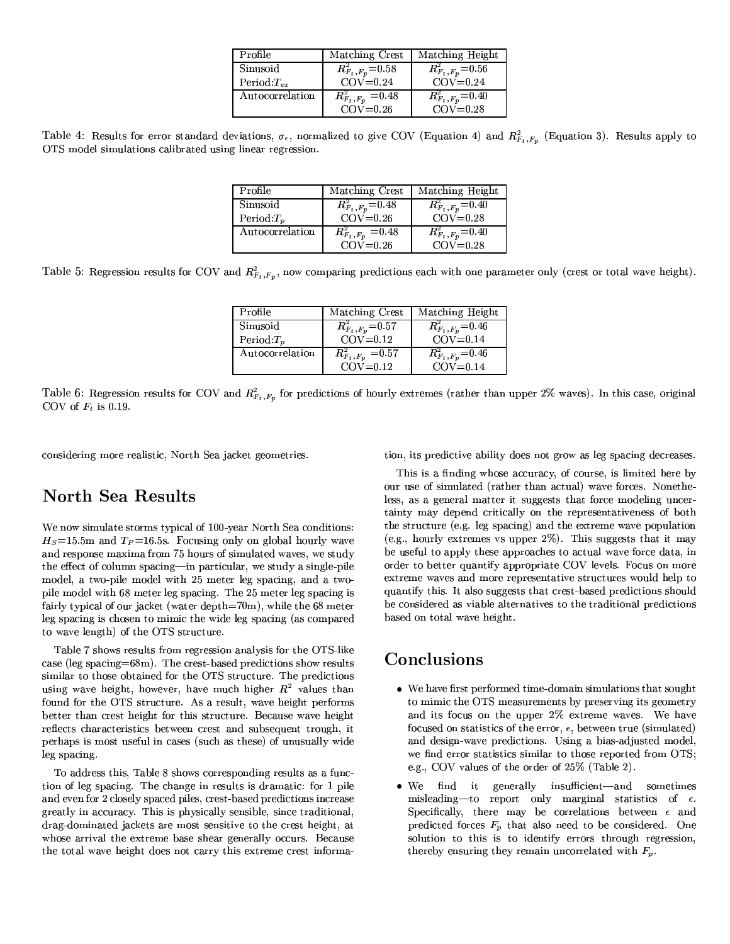| Profile         | Matching Crest          | Matching Height                     |
|-----------------|-------------------------|-------------------------------------|
| Sinusoid        | $R_{F_t,F_p}^2$ =0.58   | $R_{F_t\,,F_p}^2$ = 0.56            |
| Period $T_{ex}$ | $COV=0.24$              | $COV=0.24$                          |
| Autocorrelation | $R_{F_t, F_p}^2 = 0.48$ | $\overline{R}_{F_t\,,F_p}^2$ = 0.40 |
|                 | $COV=0.26$              | $COV = 0.28$                        |

Table 4: Results for error standard deviations,  $\sigma_{\epsilon}$ , normalized to give COV (Equation 4) and  $R_{F_t,F_p}^2$  (Equation 3). Results apply to OTS model simulations calibrated using linear regression.

| Profile         | Matching Crest          | Matching Height         |
|-----------------|-------------------------|-------------------------|
| Sinusoid        | $R_{F_t,F_p}^2$ = 0.48  | $R_{F_t, F_p}^2 = 0.40$ |
| Period: $T_n$   | $COV=0.26$              | $COV = 0.28$            |
| Autocorrelation | $R_{F_t, F_p}^2 = 0.48$ | $R_{F_t, F_p}^2$ = 0.40 |
|                 | $COV=0.26$              | $COV=0.28$              |

Table 5: Regression results for COV and  $R_{F_t,F_p}^2$ , now comparing predictions each with one parameter only (crest or total wave height).

| Profile         | Matching Crest          | Matching Height                     |
|-----------------|-------------------------|-------------------------------------|
| Sinusoid        | $R_{F_t,F_p}^2$ =0.57   | $\overline{R}_{F_t\,,F_p}^2$ = 0.46 |
| Period: $T_n$   | $COV = 0.12$            | $COV=0.14$                          |
| Autocorrelation | $R_{F_t, F_p}^2 = 0.57$ | $\overline{R}_{F_t\,,F_p}^2$ = 0.46 |
|                 | $COV = 0.12$            | $COV = 0.14$                        |

Table 6: Regression results for COV and  $R_{F_t,F_p}^2$  for predictions of hourly extremes (rather than upper 2% waves). In this case, original COV of  $F_t$  is 0.19.

considering more realistic, North Sea jacket geometries.

# **North Sea Results**

We now simulate storms typical of 100-year North Sea conditions:  $H_S = 15.5$ m and  $T_P = 16.5$ s. Focusing only on global hourly wave and response maxima from 75 hours of simulated waves, we study the effect of column spacing-in particular, we study a single-pile model, a two-pile model with 25 meter leg spacing, and a twopile model with 68 meter leg spacing. The 25 meter leg spacing is fairly typical of our jacket (water depth= $70<sup>m</sup>$ ), while the 68 meter leg spacing is chosen to mimic the wide leg spacing (as compared to wave length) of the OTS structure.

Table 7 shows results from regression analysis for the OTS-like case (leg spacing=68m). The crest-based predictions show results similar to those obtained for the OTS structure. The predictions using wave height, however, have much higher  $R^2$  values than found for the OTS structure. As a result, wave height performs better than crest height for this structure. Because wave height reflects characteristics between crest and subsequent trough, it perhaps is most useful in cases (such as these) of unusually wide leg spacing.

To address this, Table 8 shows corresponding results as a function of leg spacing. The change in results is dramatic: for 1 pile and even for 2 closely spaced piles, crest-based predictions increase greatly in accuracy. This is physically sensible, since traditional, drag-dominated jackets are most sensitive to the crest height, at whose arrival the extreme base shear generally occurs. Because the total wave height does not carry this extreme crest information, its predictive ability does not grow as leg spacing decreases.

This is a finding whose accuracy, of course, is limited here by our use of simulated (rather than actual) wave forces. Nonetheless, as a general matter it suggests that force modeling uncertainty may depend critically on the representativeness of both the structure (e.g. leg spacing) and the extreme wave population (e.g., hourly extremes vs upper  $2\%$ ). This suggests that it may be useful to apply these approaches to actual wave force data, in order to better quantify appropriate COV levels. Focus on more extreme waves and more representative structures would help to quantify this. It also suggests that crest-based predictions should be considered as viable alternatives to the traditional predictions based on total wave height.

### Conclusions

- We have first performed time-domain simulations that sought to mimic the OTS measurements by preserving its geometry and its focus on the upper 2% extreme waves. We have focused on statistics of the error,  $\epsilon$ , between true (simulated) and design-wave predictions. Using a bias-adjusted model, we find error statistics similar to those reported from OTS; e.g., COV values of the order of 25% (Table 2).
- $\bullet$  We find it generally insufficient—and sometimes  $\label{eq:disorder} \text{misleading—to} \quad \text{report} \quad \text{only} \quad \text{marginal} \quad \text{statistics} \quad \text{of} \quad \epsilon.$ Specifically, there may be correlations between  $\epsilon$  and predicted forces  $F_p$  that also need to be considered. One solution to this is to identify errors through regression, thereby ensuring they remain uncorrelated with  $F_p$ .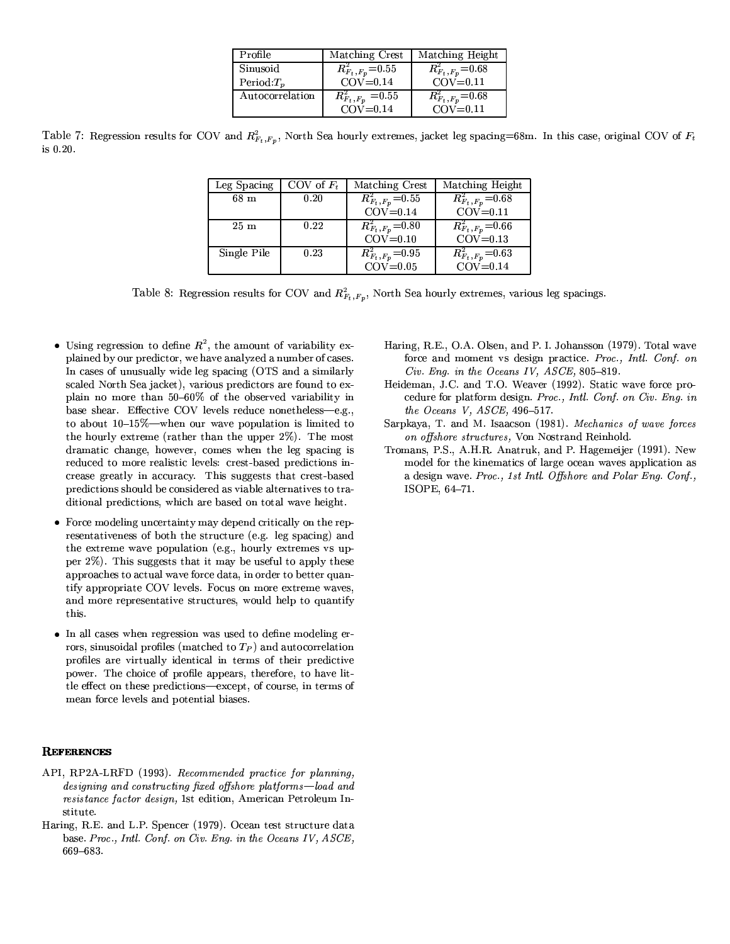| Profile         | Matching Crest                       | Matching Height                     |
|-----------------|--------------------------------------|-------------------------------------|
| Sinusoid        | $R_{F_t,F_p}^2$ = 0.55               | $R_{F_t\,,F_p}^2{=}0.68$            |
| Period: $T_n$   | $COV = 0.14$                         | $COV = 0.11$                        |
| Autocorrelation | $\overline{R}_{F_t \, ,F_p}^2$ =0.55 | $\overline{R}_{F_t\,,F_p}^2$ = 0.68 |
|                 | $COV = 0.14$                         | $COV = 0.11$                        |

Table 7: Regression results for COV and  $R_{F_t,F_p}^2$ , North Sea hourly extremes, jacket leg spacing=68m. In this case, original COV of  $F_t$ is 0.20.

| Leg Spacing     | COV of $F_t$ | Matching Crest                      | Matching Height                           |
|-----------------|--------------|-------------------------------------|-------------------------------------------|
| 68 <sub>m</sub> | 0.20         | $\overline{R_{F_{t},F_{p}}^2}=0.55$ | $\overline{R_{F_t, F_p}^2=0.68}$          |
|                 |              | $COV = 0.14$                        | $COV = 0.11$                              |
| 25m             | 0.22         | $R_{F_t,F_p}^2$ = 0.80              | $\overline{R}_{F_{t},F_{p}}^{2}\!=\!0.66$ |
|                 |              | $COV = 0.10$                        | $COV = 0.13$                              |
| Single Pile     | 0.23         | $R_{F_t,F_p}^2$ =0.95               | $\overline{R}_{F_t, F_p}^2 = 0.63$        |
|                 |              | $COV=0.05$                          | $COV = 0.14$                              |

Table 8: Regression results for COV and  $R_{F_t,F_p}^2$ , North Sea hourly extremes, various leg spacings.

- Using regression to define  $R^2$ , the amount of variability explained by our predictor, we have analyzed a number of cases. In cases of unusually wide leg spacing (OTS and a similarly scaled North Sea jacket), various predictors are found to explain no more than 50-60% of the observed variability in base shear. Effective COV levels reduce nonetheless-e.g., to about  $10-15\%$ —when our wave population is limited to the hourly extreme (rather than the upper 2%). The most dramatic change, however, comes when the leg spacing is reduced to more realistic levels: crest-based predictions increase greatly in accuracy. This suggests that crest-based predictions should be considered as viable alternatives to traditional predictions, which are based on total wave height.
- Force modeling uncertainty may depend critically on the representativeness of both the structure (e.g. leg spacing) and the extreme wave population (e.g., hourly extremes vs upper 2%). This suggests that it may be useful to apply these approaches to actual wave force data, in order to better quantify appropriate COV levels. Focus on more extreme waves, and more representative structures, would help to quantify this.
- In all cases when regression was used to define modeling errors, sinusoidal profiles (matched to  $T_P$ ) and autocorrelation profiles are virtually identical in terms of their predictive power. The choice of profile appears, therefore, to have little effect on these predictions-except, of course, in terms of mean force levels and potential biases.

#### **REFERENCES**

- API, RP2A-LRFD (1993). Recommended practice for planning, designing and constructing fixed offshore platforms-load and resistance factor design, 1st edition, American Petroleum Institute.
- Haring, R.E. and L.P. Spencer (1979). Ocean test structure data base. Proc., Intl. Conf. on Civ. Eng. in the Oceans IV, ASCE, 669-683
- Haring, R.E., O.A. Olsen, and P. I. Johansson (1979). Total wave force and moment vs design practice. Proc., Intl. Conf. on Civ. Eng. in the Oceans IV, ASCE, 805-819.
- Heideman, J.C. and T.O. Weaver (1992). Static wave force procedure for platform design. Proc., Intl. Conf. on Civ. Eng. in the Oceans V,  $ASCE$ , 496-517.
- Sarpkaya, T. and M. Isaacson (1981). Mechanics of wave forces on offshore structures, Von Nostrand Reinhold.
- Tromans, P.S., A.H.R. Anatruk, and P. Hagemeijer (1991). New model for the kinematics of large ocean waves application as a design wave. Proc., 1st Intl. Offshore and Polar Eng. Conf., ISOPE, 64-71.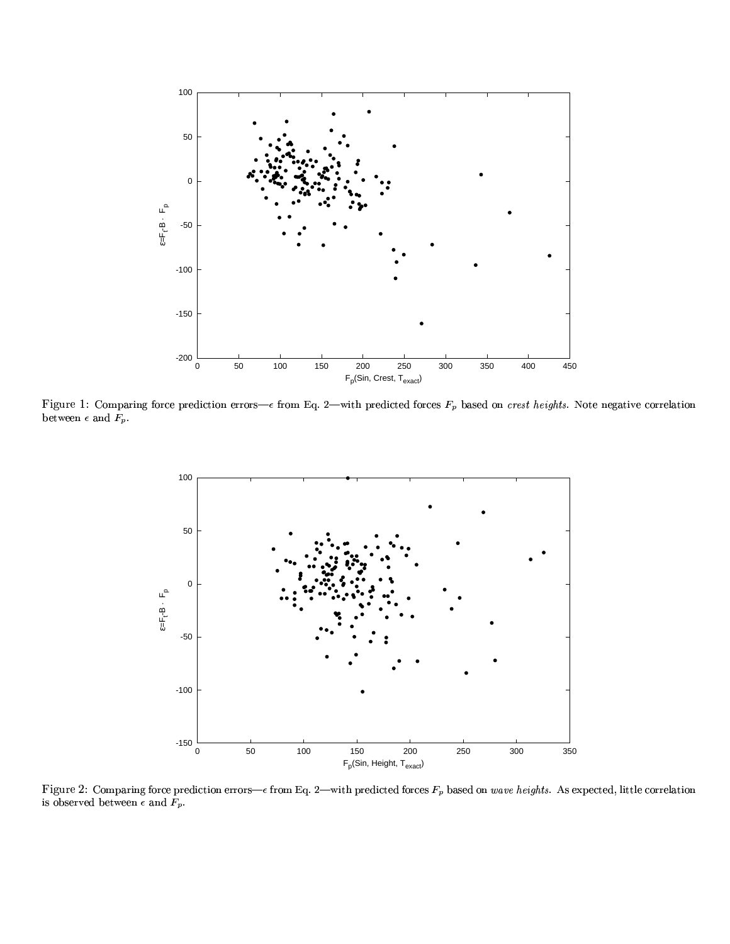

Figure 1: Comparing force prediction errors— $\epsilon$  from Eq. 2—with predicted forces  $F_p$  based on crest heights. Note negative correlation between  $\epsilon$  and  $F_p$ .



Figure 2: Comparing force prediction errors— $\epsilon$  from Eq. 2—with predicted forces  $F_p$  based on wave heights. As expected, little correlation is observed between  $\epsilon$  and  $F_p.$